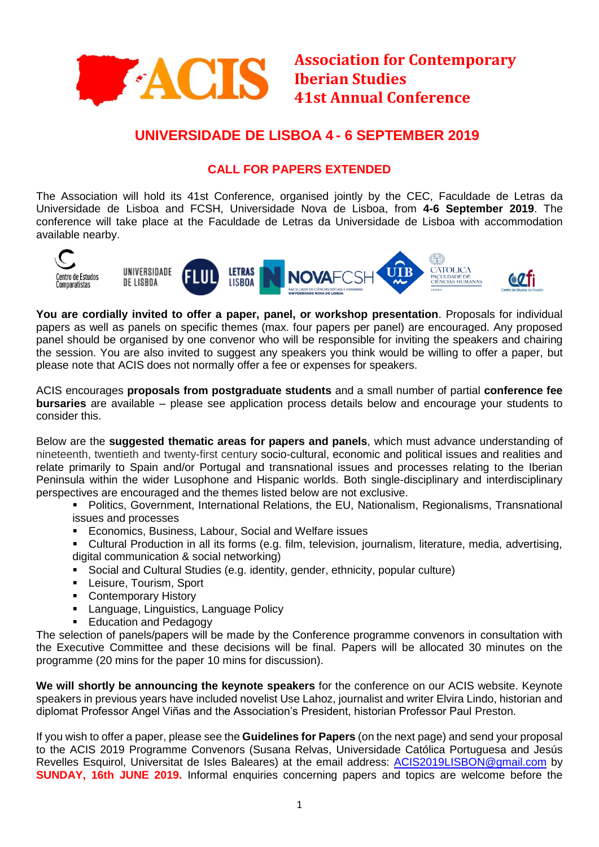

**Association for Contemporary Iberian Studies 41st Annual Conference**

## **UNIVERSIDADE DE LISBOA 4 - 6 SEPTEMBER 2019**

### **CALL FOR PAPERS EXTENDED**

The Association will hold its 41st Conference, organised jointly by the CEC, Faculdade de Letras da Universidade de Lisboa and FCSH, Universidade Nova de Lisboa, from **4-6 September 2019**. The conference will take place at the Faculdade de Letras da Universidade de Lisboa with accommodation available nearby.



**You are cordially invited to offer a paper, panel, or workshop presentation**. Proposals for individual papers as well as panels on specific themes (max. four papers per panel) are encouraged. Any proposed panel should be organised by one convenor who will be responsible for inviting the speakers and chairing the session. You are also invited to suggest any speakers you think would be willing to offer a paper, but please note that ACIS does not normally offer a fee or expenses for speakers.

ACIS encourages **proposals from postgraduate students** and a small number of partial **conference fee bursaries** are available – please see application process details below and encourage your students to consider this.

Below are the **suggested thematic areas for papers and panels**, which must advance understanding of nineteenth, twentieth and twenty-first century socio-cultural, economic and political issues and realities and relate primarily to Spain and/or Portugal and transnational issues and processes relating to the Iberian Peninsula within the wider Lusophone and Hispanic worlds. Both single-disciplinary and interdisciplinary perspectives are encouraged and the themes listed below are not exclusive.

- Politics, Government, International Relations, the EU, Nationalism, Regionalisms, Transnational issues and processes
- **Economics, Business, Labour, Social and Welfare issues**
- Cultural Production in all its forms (e.g. film, television, journalism, literature, media, advertising, digital communication & social networking)
- Social and Cultural Studies (e.g. identity, gender, ethnicity, popular culture)
- **-** Leisure, Tourism, Sport
- **Contemporary History**
- **Language, Linguistics, Language Policy**
- **Education and Pedagogy**

The selection of panels/papers will be made by the Conference programme convenors in consultation with the Executive Committee and these decisions will be final. Papers will be allocated 30 minutes on the programme (20 mins for the paper 10 mins for discussion).

**We will shortly be announcing the keynote speakers** for the conference on our ACIS website. Keynote speakers in previous years have included novelist Use Lahoz, journalist and writer Elvira Lindo, historian and diplomat Professor Angel Viñas and the Association's President, historian Professor Paul Preston.

If you wish to offer a paper, please see the **Guidelines for Papers** (on the next page) and send your proposal to the ACIS 2019 Programme Convenors (Susana Relvas, Universidade Católica Portuguesa and Jesús Revelles Esquirol, Universitat de Isles Baleares) at the email address: [ACIS2019LISBON@gmail.com](mailto:ACIS2019LISBON@gmail.com) by **SUNDAY, 16th JUNE 2019.** Informal enquiries concerning papers and topics are welcome before the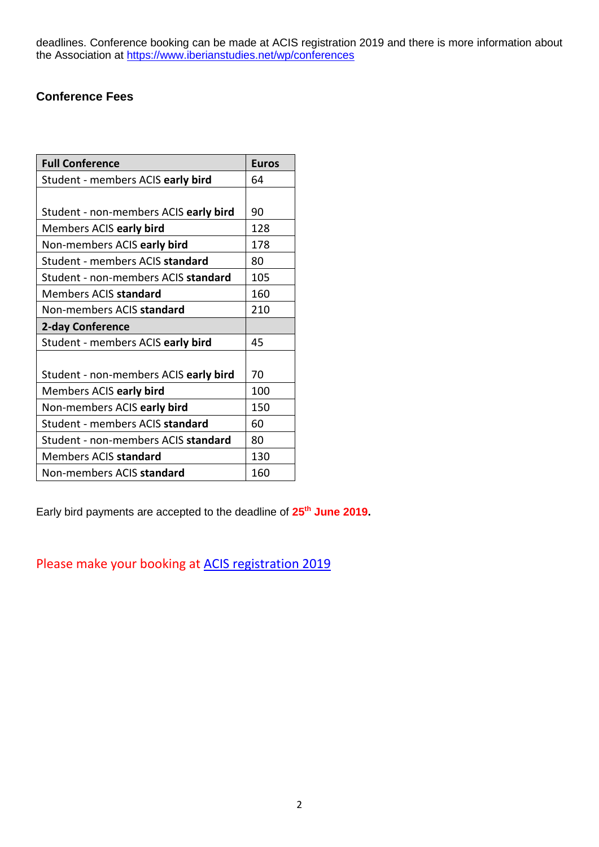deadlines. Conference booking can be made at ACIS registration 2019 and there is more information about the Association at<https://www.iberianstudies.net/wp/conferences>

## **Conference Fees**

| <b>Full Conference</b>                | <b>Euros</b> |
|---------------------------------------|--------------|
| Student - members ACIS early bird     | 64           |
|                                       |              |
| Student - non-members ACIS early bird | 90           |
| Members ACIS early bird               | 128          |
| Non-members ACIS early bird           | 178          |
| Student - members ACIS standard       | 80           |
| Student - non-members ACIS standard   | 105          |
| Members ACIS standard                 | 160          |
| Non-members ACIS standard             | 210          |
| 2-day Conference                      |              |
| Student - members ACIS early bird     | 45           |
|                                       |              |
| Student - non-members ACIS early bird | 70           |
| Members ACIS early bird               | 100          |
| Non-members ACIS early bird           | 150          |
| Student - members ACIS standard       | 60           |
| Student - non-members ACIS standard   | 80           |
| Members ACIS standard                 | 130          |
| Non-members ACIS standard             | 160          |

Early bird payments are accepted to the deadline of **25th June 2019.**

Please make your booking at [ACIS registration 2019](https://acisconference2019.weebly.com/registration.html)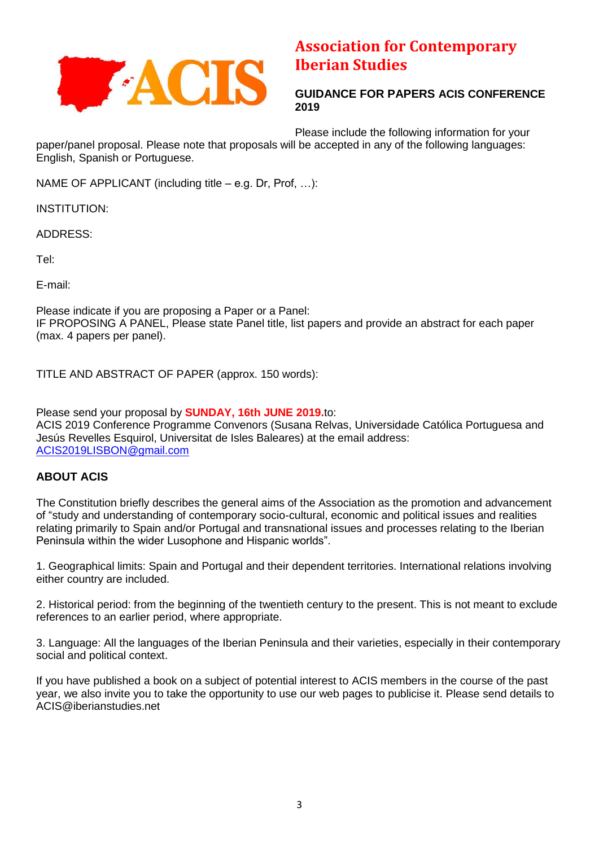

# **Association for Contemporary Iberian Studies**

**GUIDANCE FOR PAPERS ACIS CONFERENCE 2019**

Please include the following information for your paper/panel proposal. Please note that proposals will be accepted in any of the following languages: English, Spanish or Portuguese.

NAME OF APPLICANT (including title – e.g. Dr, Prof, …):

INSTITUTION:

ADDRESS:

Tel:

E-mail:

Please indicate if you are proposing a Paper or a Panel: IF PROPOSING A PANEL, Please state Panel title, list papers and provide an abstract for each paper (max. 4 papers per panel).

TITLE AND ABSTRACT OF PAPER (approx. 150 words):

Please send your proposal by **SUNDAY, 16th JUNE 2019.**to: ACIS 2019 Conference Programme Convenors (Susana Relvas, Universidade Católica Portuguesa and Jesús Revelles Esquirol, Universitat de Isles Baleares) at the email address: [ACIS2019LISBON@gmail.com](mailto:ACIS2019LISBON@gmail.com)

### **ABOUT ACIS**

The Constitution briefly describes the general aims of the Association as the promotion and advancement of "study and understanding of contemporary socio-cultural, economic and political issues and realities relating primarily to Spain and/or Portugal and transnational issues and processes relating to the Iberian Peninsula within the wider Lusophone and Hispanic worlds".

1. Geographical limits: Spain and Portugal and their dependent territories. International relations involving either country are included.

2. Historical period: from the beginning of the twentieth century to the present. This is not meant to exclude references to an earlier period, where appropriate.

3. Language: All the languages of the Iberian Peninsula and their varieties, especially in their contemporary social and political context.

If you have published a book on a subject of potential interest to ACIS members in the course of the past year, we also invite you to take the opportunity to use our web pages to publicise it. Please send details to ACIS@iberianstudies.net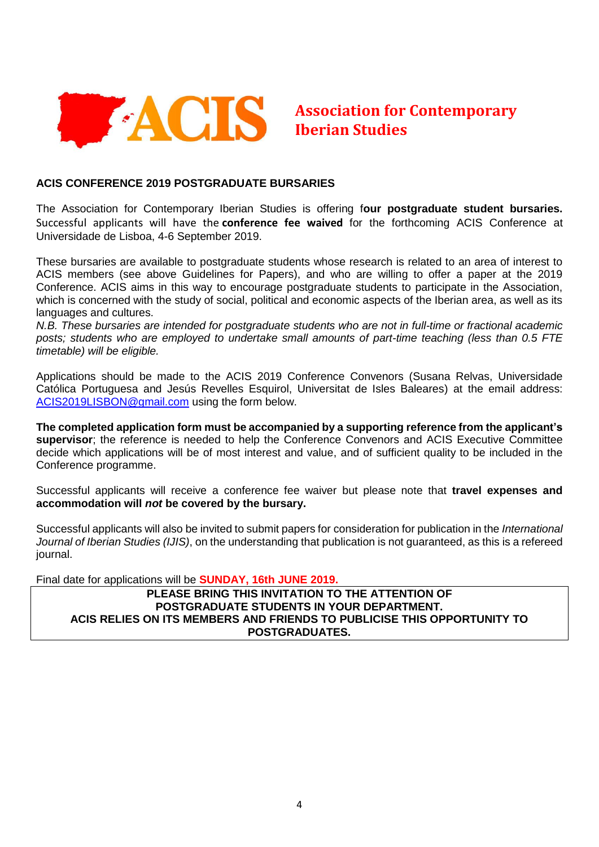

# **Association for Contemporary Iberian Studies**

#### **ACIS CONFERENCE 2019 POSTGRADUATE BURSARIES**

The Association for Contemporary Iberian Studies is offering f**our postgraduate student bursaries.**  Successful applicants will have the **conference fee waived** for the forthcoming ACIS Conference at Universidade de Lisboa, 4-6 September 2019.

These bursaries are available to postgraduate students whose research is related to an area of interest to ACIS members (see above Guidelines for Papers), and who are willing to offer a paper at the 2019 Conference. ACIS aims in this way to encourage postgraduate students to participate in the Association, which is concerned with the study of social, political and economic aspects of the Iberian area, as well as its languages and cultures.

*N.B. These bursaries are intended for postgraduate students who are not in full-time or fractional academic posts; students who are employed to undertake small amounts of part-time teaching (less than 0.5 FTE timetable) will be eligible.* 

Applications should be made to the ACIS 2019 Conference Convenors (Susana Relvas, Universidade Católica Portuguesa and Jesús Revelles Esquirol, Universitat de Isles Baleares) at the email address: [ACIS2019LISBON@gmail.com](mailto:ACIS2019LISBON@gmail.com) using the form below.

**The completed application form must be accompanied by a supporting reference from the applicant's supervisor**; the reference is needed to help the Conference Convenors and ACIS Executive Committee decide which applications will be of most interest and value, and of sufficient quality to be included in the Conference programme.

Successful applicants will receive a conference fee waiver but please note that **travel expenses and accommodation will** *not* **be covered by the bursary.** 

Successful applicants will also be invited to submit papers for consideration for publication in the *International Journal of Iberian Studies (IJIS)*, on the understanding that publication is not guaranteed, as this is a refereed journal.

Final date for applications will be **SUNDAY, 16th JUNE 2019.**

#### **PLEASE BRING THIS INVITATION TO THE ATTENTION OF POSTGRADUATE STUDENTS IN YOUR DEPARTMENT. ACIS RELIES ON ITS MEMBERS AND FRIENDS TO PUBLICISE THIS OPPORTUNITY TO POSTGRADUATES.**